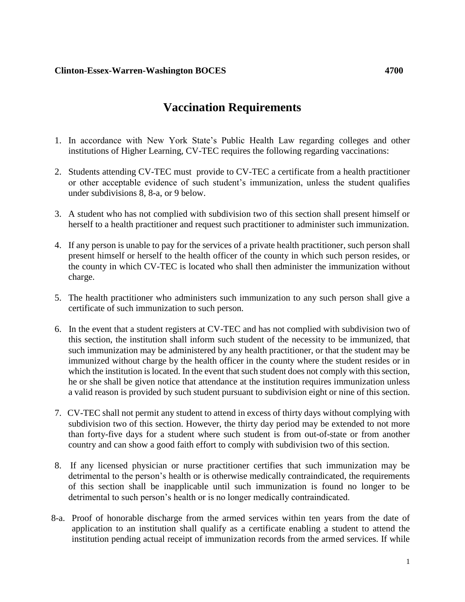## **Clinton-Essex-Warren-Washington BOCES 4700**

## **Vaccination Requirements**

- 1. In accordance with New York State's Public Health Law regarding colleges and other institutions of Higher Learning, CV-TEC requires the following regarding vaccinations:
- 2. Students attending CV-TEC must provide to CV-TEC a certificate from a health practitioner or other acceptable evidence of such student's immunization, unless the student qualifies under subdivisions 8, 8-a, or 9 below.
- 3. A student who has not complied with subdivision two of this section shall present himself or herself to a health practitioner and request such practitioner to administer such immunization.
- 4. If any person is unable to pay for the services of a private health practitioner, such person shall present himself or herself to the health officer of the county in which such person resides, or the county in which CV-TEC is located who shall then administer the immunization without charge.
- 5. The health practitioner who administers such immunization to any such person shall give a certificate of such immunization to such person.
- 6. In the event that a student registers at CV-TEC and has not complied with subdivision two of this section, the institution shall inform such student of the necessity to be immunized, that such immunization may be administered by any health practitioner, or that the student may be immunized without charge by the health officer in the county where the student resides or in which the institution is located. In the event that such student does not comply with this section, he or she shall be given notice that attendance at the institution requires immunization unless a valid reason is provided by such student pursuant to subdivision eight or nine of this section.
- 7. CV-TEC shall not permit any student to attend in excess of thirty days without complying with subdivision two of this section. However, the thirty day period may be extended to not more than forty-five days for a student where such student is from out-of-state or from another country and can show a good faith effort to comply with subdivision two of this section.
- 8. If any licensed physician or nurse practitioner certifies that such immunization may be detrimental to the person's health or is otherwise medically contraindicated, the requirements of this section shall be inapplicable until such immunization is found no longer to be detrimental to such person's health or is no longer medically contraindicated.
- 8-a. Proof of honorable discharge from the armed services within ten years from the date of application to an institution shall qualify as a certificate enabling a student to attend the institution pending actual receipt of immunization records from the armed services. If while